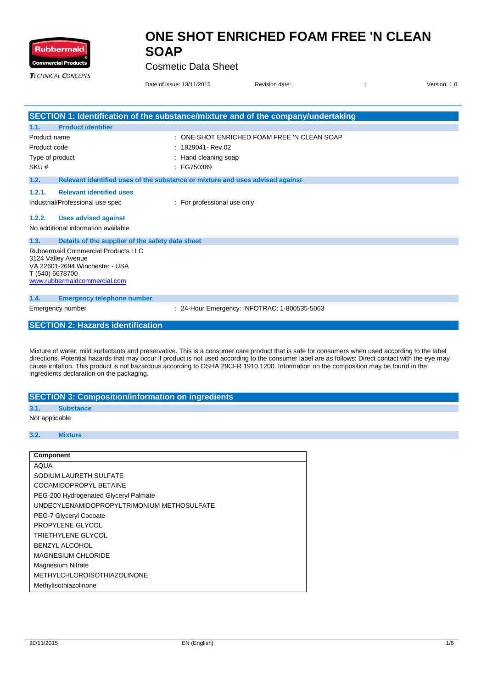

Cosmetic Data Sheet

| <b>TECHNICAL CONCEPTS</b> |                                                                                                                                                      | Date of issue: 13/11/2015                                                     | Revision date:                                                                    | Version: 1.0<br>÷ |
|---------------------------|------------------------------------------------------------------------------------------------------------------------------------------------------|-------------------------------------------------------------------------------|-----------------------------------------------------------------------------------|-------------------|
|                           |                                                                                                                                                      |                                                                               | SECTION 1: Identification of the substance/mixture and of the company/undertaking |                   |
| 1.1.                      | <b>Product identifier</b>                                                                                                                            |                                                                               |                                                                                   |                   |
| Product name              |                                                                                                                                                      |                                                                               | : ONE SHOT ENRICHED FOAM FREE 'N CLEAN SOAP                                       |                   |
| Product code              |                                                                                                                                                      | 1829041- Rev.02                                                               |                                                                                   |                   |
|                           | Type of product                                                                                                                                      | Hand cleaning soap                                                            |                                                                                   |                   |
| SKU#                      |                                                                                                                                                      | $E$ FG750389                                                                  |                                                                                   |                   |
| 1.2.                      |                                                                                                                                                      | Relevant identified uses of the substance or mixture and uses advised against |                                                                                   |                   |
| 1.2.1.                    | <b>Relevant identified uses</b>                                                                                                                      |                                                                               |                                                                                   |                   |
|                           | Industrial/Professional use spec                                                                                                                     | : For professional use only                                                   |                                                                                   |                   |
| 1.2.2.                    | <b>Uses advised against</b>                                                                                                                          |                                                                               |                                                                                   |                   |
|                           | No additional information available                                                                                                                  |                                                                               |                                                                                   |                   |
| 1.3.                      | Details of the supplier of the safety data sheet                                                                                                     |                                                                               |                                                                                   |                   |
|                           | <b>Rubbermaid Commercial Products LLC</b><br>3124 Valley Avenue<br>VA 22601-2694 Winchester - USA<br>T (540) 6678700<br>www.rubbermaidcommercial.com |                                                                               |                                                                                   |                   |
| 1.4.                      | <b>Emergency telephone number</b>                                                                                                                    |                                                                               |                                                                                   |                   |
|                           | Emergency number                                                                                                                                     |                                                                               | : 24-Hour Emergency: INFOTRAC: 1-800535-5063                                      |                   |
|                           | <b>SECTION 2: Hazards identification</b>                                                                                                             |                                                                               |                                                                                   |                   |
|                           |                                                                                                                                                      |                                                                               |                                                                                   |                   |

Mixture of water, mild surfactants and preservative. This is a consumer care product that is safe for consumers when used according to the label directions. Potential hazards that may occur if product is not used according to the consumer label are as follows: Direct contact with the eye may cause irritation. This product is not hazardous according to OSHA 29CFR 1910.1200. Information on the composition may be found in the ingredients declaration on the packaging.

### **SECTION 3: Composition/information on ingredients**

**3.1. Substance**

Not applicable

#### **3.2. Mixture**

### **Component**

AQUA SODIUM LAURETH SULFATE COCAMIDOPROPYL BETAINE PEG-200 Hydrogenated Glyceryl Palmate UNDECYLENAMIDOPROPYLTRIMONIUM METHOSULFATE PEG-7 Glyceryl Cocoate PROPYLENE GLYCOL TRIETHYLENE GLYCOL BENZYL ALCOHOL MAGNESIUM CHLORIDE Magnesium Nitrate METHYLCHLOROISOTHIAZOLINONE Methylisothiazolinone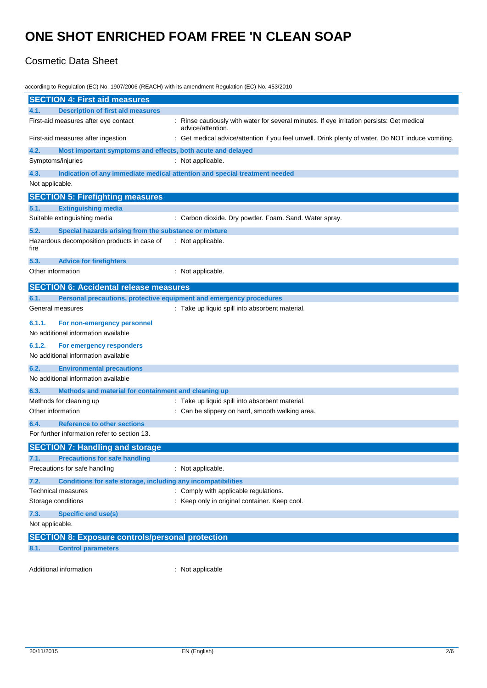### Cosmetic Data Sheet

according to Regulation (EC) No. 1907/2006 (REACH) with its amendment Regulation (EC) No. 453/2010 **SECTION 4: First aid measures 4.1. Description of first aid measures** First-aid measures after eye contact : Rinse cautiously with water for several minutes. If eye irritation persists: Get medical advice/attention. First-aid measures after ingestion : Get medical advice/attention if you feel unwell. Drink plenty of water. Do NOT induce vomiting. **4.2. Most important symptoms and effects, both acute and delayed** Symptoms/injuries : Not applicable. **4.3. Indication of any immediate medical attention and special treatment needed** Not applicable. **SECTION 5: Firefighting measures 5.1. Extinguishing media** Suitable extinguishing media : Carbon dioxide. Dry powder. Foam. Sand. Water spray. **5.2. Special hazards arising from the substance or mixture** Hazardous decomposition products in case of fire : Not applicable. **5.3. Advice for firefighters** Other information in the contract of the contract of the contract of the contract of the contract of the contract of the contract of the contract of the contract of the contract of the contract of the contract of the contr **SECTION 6: Accidental release measures 6.1. Personal precautions, protective equipment and emergency procedures** General measures **Seneral measures** : Take up liquid spill into absorbent material. **6.1.1. For non-emergency personnel** No additional information available **6.1.2. For emergency responders** No additional information available **6.2. Environmental precautions** No additional information available **6.3. Methods and material for containment and cleaning up** Methods for cleaning up : Take up liquid spill into absorbent material. Other information **contains the contact of the slippery on hard, smooth walking area. 6.4. Reference to other sections** For further information refer to section 13. **SECTION 7: Handling and storage 7.1. Precautions for safe handling** Precautions for safe handling in the same in the Not applicable. **7.2. Conditions for safe storage, including any incompatibilities** Technical measures **in the contract of the Comply with applicable regulations**. Storage conditions **Storage conditions** : Keep only in original container. Keep cool. **7.3. Specific end use(s)** Not applicable. **SECTION 8: Exposure controls/personal protection 8.1. Control parameters** Additional information : Not applicable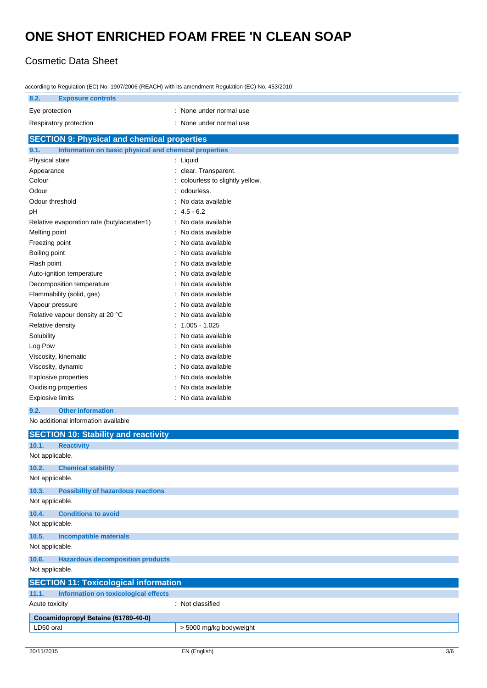## Cosmetic Data Sheet

| according to Regulation (EC) No. 1907/2006 (REACH) with its amendment Regulation (EC) No. 453/2010 |                                |  |  |  |
|----------------------------------------------------------------------------------------------------|--------------------------------|--|--|--|
| 8.2.<br><b>Exposure controls</b>                                                                   |                                |  |  |  |
| Eye protection                                                                                     | : None under normal use        |  |  |  |
| Respiratory protection                                                                             | : None under normal use        |  |  |  |
| <b>SECTION 9: Physical and chemical properties</b>                                                 |                                |  |  |  |
| 9.1.<br>Information on basic physical and chemical properties                                      |                                |  |  |  |
| Physical state                                                                                     | : Liquid                       |  |  |  |
| Appearance                                                                                         | : clear. Transparent.          |  |  |  |
| Colour                                                                                             | colourless to slightly yellow. |  |  |  |
| Odour                                                                                              | odourless.                     |  |  |  |
| Odour threshold                                                                                    | No data available              |  |  |  |
| рH                                                                                                 | $: 4.5 - 6.2$                  |  |  |  |
| Relative evaporation rate (butylacetate=1)                                                         | : No data available            |  |  |  |
| Melting point                                                                                      | No data available<br>÷.        |  |  |  |
| Freezing point                                                                                     | No data available<br>t         |  |  |  |
| Boiling point                                                                                      | No data available              |  |  |  |
| Flash point                                                                                        | No data available              |  |  |  |
| Auto-ignition temperature                                                                          | No data available              |  |  |  |
| Decomposition temperature                                                                          | No data available              |  |  |  |
| Flammability (solid, gas)                                                                          | No data available              |  |  |  |
| Vapour pressure                                                                                    | No data available              |  |  |  |
| Relative vapour density at 20 °C                                                                   | No data available              |  |  |  |
| Relative density                                                                                   | $1.005 - 1.025$                |  |  |  |
| Solubility                                                                                         | No data available              |  |  |  |
| Log Pow                                                                                            | No data available              |  |  |  |
| Viscosity, kinematic                                                                               | No data available              |  |  |  |
| Viscosity, dynamic                                                                                 | No data available              |  |  |  |
| <b>Explosive properties</b>                                                                        | No data available              |  |  |  |
| Oxidising properties                                                                               | No data available              |  |  |  |
| <b>Explosive limits</b>                                                                            | : No data available            |  |  |  |
|                                                                                                    |                                |  |  |  |
| 9.2.<br><b>Other information</b>                                                                   |                                |  |  |  |
| No additional information available                                                                |                                |  |  |  |
| <b>SECTION 10: Stability and reactivity</b>                                                        |                                |  |  |  |
| 10.1.<br><b>Reactivity</b>                                                                         |                                |  |  |  |
| Not applicable.                                                                                    |                                |  |  |  |
| 10.2.<br><b>Chemical stability</b>                                                                 |                                |  |  |  |
| Not applicable.                                                                                    |                                |  |  |  |
| 10.3.<br><b>Possibility of hazardous reactions</b>                                                 |                                |  |  |  |
| Not applicable.                                                                                    |                                |  |  |  |
| 10.4.<br><b>Conditions to avoid</b>                                                                |                                |  |  |  |
| Not applicable.                                                                                    |                                |  |  |  |
| 10.5.<br><b>Incompatible materials</b>                                                             |                                |  |  |  |
| Not applicable.                                                                                    |                                |  |  |  |
|                                                                                                    |                                |  |  |  |
| 10.6.<br><b>Hazardous decomposition products</b>                                                   |                                |  |  |  |
| Not applicable.                                                                                    |                                |  |  |  |
| <b>SECTION 11: Toxicological information</b>                                                       |                                |  |  |  |
| 11.1.<br><b>Information on toxicological effects</b>                                               |                                |  |  |  |
| : Not classified<br>Acute toxicity                                                                 |                                |  |  |  |
| Cocamidopropyl Betaine (61789-40-0)                                                                |                                |  |  |  |
| LD50 oral                                                                                          | > 5000 mg/kg bodyweight        |  |  |  |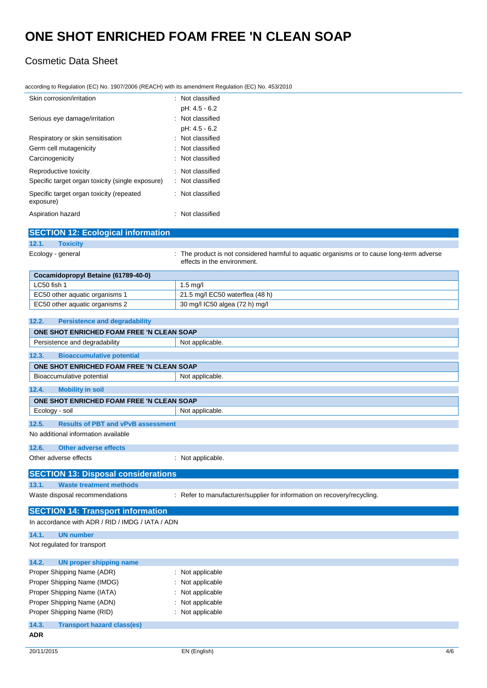according to Regulation (EC) No. 1907/2006 (REACH) with its amendment Regulation (EC) No. 453/2010

## Cosmetic Data Sheet

| Skin corrosion/irritation                                              | : Not classified                                                                                                          |
|------------------------------------------------------------------------|---------------------------------------------------------------------------------------------------------------------------|
| Serious eye damage/irritation                                          | pH: 4.5 - 6.2<br>: Not classified                                                                                         |
|                                                                        | pH: 4.5 - 6.2                                                                                                             |
| Respiratory or skin sensitisation                                      | : Not classified                                                                                                          |
| Germ cell mutagenicity                                                 | : Not classified                                                                                                          |
| Carcinogenicity                                                        | : Not classified                                                                                                          |
| Reproductive toxicity                                                  | : Not classified                                                                                                          |
| Specific target organ toxicity (single exposure)                       | : Not classified                                                                                                          |
| Specific target organ toxicity (repeated<br>exposure)                  | : Not classified                                                                                                          |
| Aspiration hazard                                                      | : Not classified                                                                                                          |
| <b>SECTION 12: Ecological information</b>                              |                                                                                                                           |
| 12.1.<br><b>Toxicity</b>                                               |                                                                                                                           |
| Ecology - general                                                      | : The product is not considered harmful to aquatic organisms or to cause long-term adverse<br>effects in the environment. |
| Cocamidopropyl Betaine (61789-40-0)                                    |                                                                                                                           |
| LC50 fish 1                                                            | 1.5 mg/l                                                                                                                  |
| EC50 other aquatic organisms 1                                         | 21.5 mg/l EC50 waterflea (48 h)                                                                                           |
| EC50 other aquatic organisms 2                                         | 30 mg/l IC50 algea (72 h) mg/l                                                                                            |
| 12.2.<br><b>Persistence and degradability</b>                          |                                                                                                                           |
| ONE SHOT ENRICHED FOAM FREE 'N CLEAN SOAP                              |                                                                                                                           |
| Persistence and degradability                                          | Not applicable.                                                                                                           |
| 12.3.<br><b>Bioaccumulative potential</b>                              |                                                                                                                           |
|                                                                        |                                                                                                                           |
| ONE SHOT ENRICHED FOAM FREE 'N CLEAN SOAP<br>Bioaccumulative potential | Not applicable.                                                                                                           |
|                                                                        |                                                                                                                           |
| 12.4.<br><b>Mobility in soil</b>                                       |                                                                                                                           |
| ONE SHOT ENRICHED FOAM FREE 'N CLEAN SOAP                              |                                                                                                                           |
| Ecology - soil                                                         | Not applicable.                                                                                                           |
| 12.5.<br><b>Results of PBT and vPvB assessment</b>                     |                                                                                                                           |
| No additional information available                                    |                                                                                                                           |
| 12.6.<br><b>Other adverse effects</b>                                  |                                                                                                                           |
| Other adverse effects                                                  | : Not applicable.                                                                                                         |
| <b>SECTION 13: Disposal considerations</b>                             |                                                                                                                           |
| 13.1.<br><b>Waste treatment methods</b>                                |                                                                                                                           |
| Waste disposal recommendations                                         | : Refer to manufacturer/supplier for information on recovery/recycling.                                                   |
| <b>SECTION 14: Transport information</b>                               |                                                                                                                           |
| In accordance with ADR / RID / IMDG / IATA / ADN                       |                                                                                                                           |
| 14.1.<br><b>UN number</b>                                              |                                                                                                                           |
| Not regulated for transport                                            |                                                                                                                           |
| 14.2.<br><b>UN proper shipping name</b>                                |                                                                                                                           |
| Proper Shipping Name (ADR)                                             | : Not applicable                                                                                                          |
| Proper Shipping Name (IMDG)                                            | : Not applicable                                                                                                          |
| Proper Shipping Name (IATA)                                            | : Not applicable                                                                                                          |
| Proper Shipping Name (ADN)                                             | : Not applicable                                                                                                          |
| Proper Shipping Name (RID)                                             | : Not applicable                                                                                                          |
| 14.3.<br><b>Transport hazard class(es)</b>                             |                                                                                                                           |
| <b>ADR</b>                                                             |                                                                                                                           |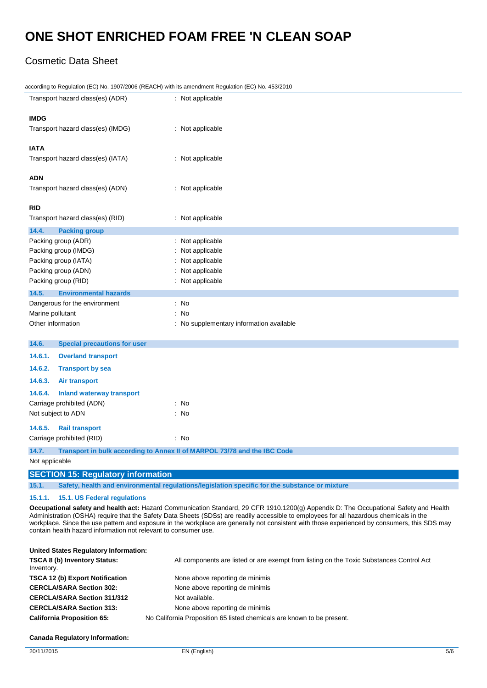## Cosmetic Data Sheet

| according to Regulation (EC) No. 1907/2006 (REACH) with its amendment Regulation (EC) No. 453/2010      |                                                                                                                                                                                                                                                                                  |  |  |  |
|---------------------------------------------------------------------------------------------------------|----------------------------------------------------------------------------------------------------------------------------------------------------------------------------------------------------------------------------------------------------------------------------------|--|--|--|
| Transport hazard class(es) (ADR)                                                                        | : Not applicable                                                                                                                                                                                                                                                                 |  |  |  |
| <b>IMDG</b>                                                                                             |                                                                                                                                                                                                                                                                                  |  |  |  |
| Transport hazard class(es) (IMDG)                                                                       | : Not applicable                                                                                                                                                                                                                                                                 |  |  |  |
| <b>IATA</b>                                                                                             |                                                                                                                                                                                                                                                                                  |  |  |  |
| Transport hazard class(es) (IATA)                                                                       | : Not applicable                                                                                                                                                                                                                                                                 |  |  |  |
| <b>ADN</b>                                                                                              |                                                                                                                                                                                                                                                                                  |  |  |  |
| Transport hazard class(es) (ADN)                                                                        | : Not applicable                                                                                                                                                                                                                                                                 |  |  |  |
| <b>RID</b>                                                                                              |                                                                                                                                                                                                                                                                                  |  |  |  |
| Transport hazard class(es) (RID)                                                                        | : Not applicable                                                                                                                                                                                                                                                                 |  |  |  |
| 14.4.<br><b>Packing group</b>                                                                           |                                                                                                                                                                                                                                                                                  |  |  |  |
| Packing group (ADR)                                                                                     | : Not applicable                                                                                                                                                                                                                                                                 |  |  |  |
| Packing group (IMDG)                                                                                    | Not applicable                                                                                                                                                                                                                                                                   |  |  |  |
| Packing group (IATA)                                                                                    | Not applicable                                                                                                                                                                                                                                                                   |  |  |  |
| Packing group (ADN)                                                                                     | Not applicable                                                                                                                                                                                                                                                                   |  |  |  |
| Packing group (RID)                                                                                     | : Not applicable                                                                                                                                                                                                                                                                 |  |  |  |
| 14.5.<br><b>Environmental hazards</b>                                                                   |                                                                                                                                                                                                                                                                                  |  |  |  |
| Dangerous for the environment                                                                           | : No                                                                                                                                                                                                                                                                             |  |  |  |
| Marine pollutant                                                                                        | : No                                                                                                                                                                                                                                                                             |  |  |  |
| Other information                                                                                       | : No supplementary information available                                                                                                                                                                                                                                         |  |  |  |
| 14.6.<br><b>Special precautions for user</b>                                                            |                                                                                                                                                                                                                                                                                  |  |  |  |
| 14.6.1.<br><b>Overland transport</b>                                                                    |                                                                                                                                                                                                                                                                                  |  |  |  |
| 14.6.2.<br><b>Transport by sea</b>                                                                      |                                                                                                                                                                                                                                                                                  |  |  |  |
| 14.6.3.<br>Air transport                                                                                |                                                                                                                                                                                                                                                                                  |  |  |  |
| 14.6.4.<br><b>Inland waterway transport</b>                                                             |                                                                                                                                                                                                                                                                                  |  |  |  |
| Carriage prohibited (ADN)                                                                               | : No                                                                                                                                                                                                                                                                             |  |  |  |
| Not subject to ADN                                                                                      | : No                                                                                                                                                                                                                                                                             |  |  |  |
| 14.6.5.<br><b>Rail transport</b>                                                                        |                                                                                                                                                                                                                                                                                  |  |  |  |
| Carriage prohibited (RID)                                                                               | : No                                                                                                                                                                                                                                                                             |  |  |  |
| 14.7.                                                                                                   | Transport in bulk according to Annex II of MARPOL 73/78 and the IBC Code                                                                                                                                                                                                         |  |  |  |
| Not applicable                                                                                          |                                                                                                                                                                                                                                                                                  |  |  |  |
| <b>SECTION 15: Regulatory information</b>                                                               |                                                                                                                                                                                                                                                                                  |  |  |  |
| Safety, health and environmental regulations/legislation specific for the substance or mixture<br>15.1. |                                                                                                                                                                                                                                                                                  |  |  |  |
| 15.1.1.<br>15.1. US Federal regulations                                                                 |                                                                                                                                                                                                                                                                                  |  |  |  |
|                                                                                                         | Occupational safety and health act: Hazard Communication Standard, 29 CFR 1910.1200(g) Appendix D: The Occupational Safety and Health<br>Administration (OSHA) require that the Safety Data Sheets (SDSs) are readily accessible to employees for all hazardous chemicals in the |  |  |  |

workplace. Since the use pattern and exposure in the workplace are generally not consistent with those experienced by consumers, this SDS may contain health hazard information not relevant to consumer use.

| United States Regulatory Information:      |                                                                                          |
|--------------------------------------------|------------------------------------------------------------------------------------------|
| TSCA 8 (b) Inventory Status:<br>Inventory. | All components are listed or are exempt from listing on the Toxic Substances Control Act |
| <b>TSCA 12 (b) Export Notification</b>     | None above reporting de minimis                                                          |
| <b>CERCLA/SARA Section 302:</b>            | None above reporting de minimis                                                          |
| <b>CERCLA/SARA Section 311/312</b>         | Not available.                                                                           |
| <b>CERCLA/SARA Section 313:</b>            | None above reporting de minimis                                                          |
| <b>California Proposition 65:</b>          | No California Proposition 65 listed chemicals are known to be present.                   |

### **Canada Regulatory Information:**